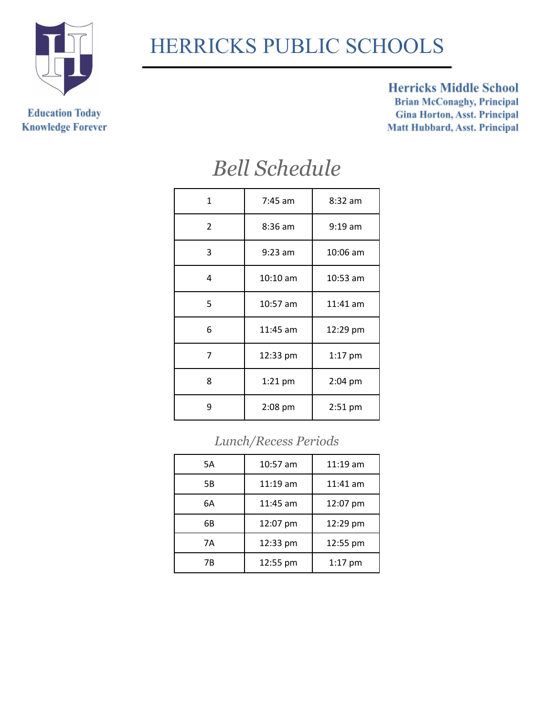

# HERRICKS PUBLIC SCHOOLS

**Education Today Knowledge Forever** 

#### **Herricks Middle School**

**Brian McConaghy, Principal Gina Horton, Asst. Principal** Matt Hubbard, Asst. Principal

### *Bell Schedule*

| $\mathbf{1}$   | $7:45$ am              | $8:32$ am  |
|----------------|------------------------|------------|
| $\overline{2}$ | $8:36$ am              | $9:19$ am  |
| 3              | $9:23$ am              | 10:06 am   |
| 4              | $10:10$ am             | $10:53$ am |
| 5              | 10:57 am               | $11:41$ am |
| 6              | $11:45$ am             | 12:29 pm   |
| 7              | 12:33 pm               | 1:17 pm    |
| 8              | 2:04 pm<br>$1:21$ pm   |            |
| 9              | $2:08$ pm<br>$2:51$ pm |            |
|                |                        |            |

#### *Lunch/Recess Periods*

| 5Α | 10:57 am              | $11:19$ am |
|----|-----------------------|------------|
| 5B | $11:19$ am            | $11:41$ am |
| 6А | $11:45$ am            | 12:07 pm   |
| 6В | 12:07 pm              | 12:29 pm   |
| 7Α | 12:33 pm              | 12:55 pm   |
| 7Β | 12:55 pm<br>$1:17$ pm |            |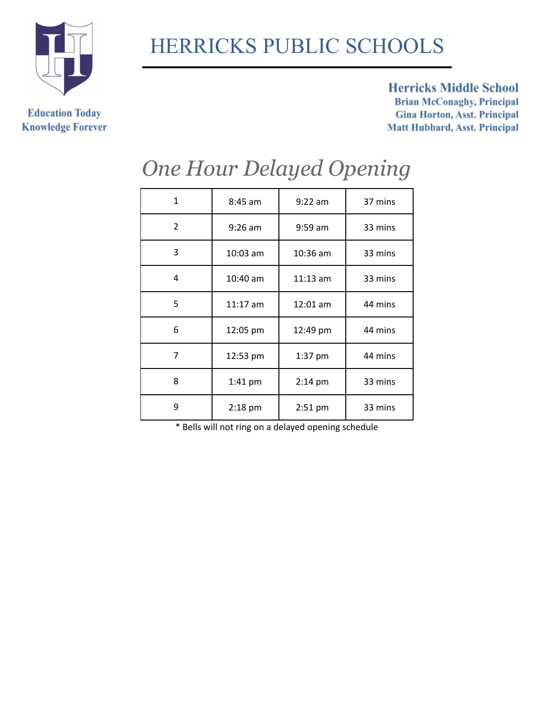

**Education Today** 

**Knowledge Forever** 

# HERRICKS PUBLIC SCHOOLS

#### **Herricks Middle School**

**Brian McConaghy, Principal Gina Horton, Asst. Principal** Matt Hubbard, Asst. Principal

| 1 | $8:45$ am  | $9:22$ am  | 37 mins |
|---|------------|------------|---------|
| 2 | $9:26$ am  | $9:59$ am  | 33 mins |
| 3 | $10:03$ am | $10:36$ am | 33 mins |
| 4 | 10:40 am   | $11:13$ am | 33 mins |
| 5 | $11:17$ am | 12:01 am   | 44 mins |
| 6 | 12:05 pm   | 12:49 pm   | 44 mins |
| 7 | 12:53 pm   | 1:37 pm    | 44 mins |
| 8 | 1:41 pm    | $2:14$ pm  | 33 mins |
| 9 | 2:18 pm    | 2:51 pm    | 33 mins |
|   |            |            |         |

## *One Hour Delayed Opening*

\* Bells will not ring on a delayed opening schedule